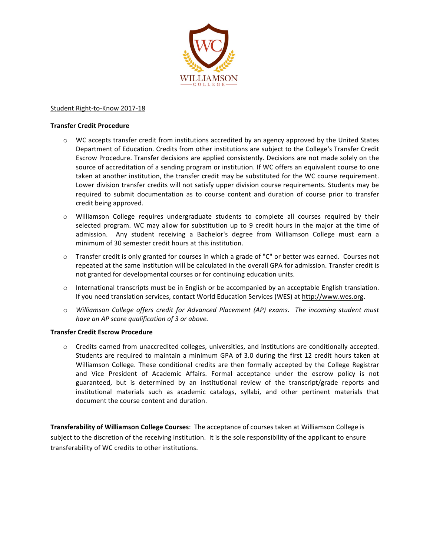

## Student Right-to-Know 2017-18

## **Transfer Credit Procedure**

- $\circ$  WC accepts transfer credit from institutions accredited by an agency approved by the United States Department of Education. Credits from other institutions are subject to the College's Transfer Credit Escrow Procedure. Transfer decisions are applied consistently. Decisions are not made solely on the source of accreditation of a sending program or institution. If WC offers an equivalent course to one taken at another institution, the transfer credit may be substituted for the WC course requirement. Lower division transfer credits will not satisfy upper division course requirements. Students may be required to submit documentation as to course content and duration of course prior to transfer credit being approved.
- $\circ$  Williamson College requires undergraduate students to complete all courses required by their selected program. WC may allow for substitution up to 9 credit hours in the major at the time of admission. Any student receiving a Bachelor's degree from Williamson College must earn a minimum of 30 semester credit hours at this institution.
- $\circ$  Transfer credit is only granted for courses in which a grade of "C" or better was earned. Courses not repeated at the same institution will be calculated in the overall GPA for admission. Transfer credit is not granted for developmental courses or for continuing education units.
- $\circ$  International transcripts must be in English or be accompanied by an acceptable English translation. If you need translation services, contact World Education Services (WES) at http://www.wes.org.
- $\circ$  *Williamson College offers credit for Advanced Placement (AP) exams. The incoming student must have an AP score qualification of 3 or above.*

## **Transfer Credit Escrow Procedure**

 $\circ$  Credits earned from unaccredited colleges, universities, and institutions are conditionally accepted. Students are required to maintain a minimum GPA of 3.0 during the first 12 credit hours taken at Williamson College. These conditional credits are then formally accepted by the College Registrar and Vice President of Academic Affairs. Formal acceptance under the escrow policy is not guaranteed, but is determined by an institutional review of the transcript/grade reports and institutional materials such as academic catalogs, syllabi, and other pertinent materials that document the course content and duration.

**Transferability of Williamson College Courses:** The acceptance of courses taken at Williamson College is subject to the discretion of the receiving institution. It is the sole responsibility of the applicant to ensure transferability of WC credits to other institutions.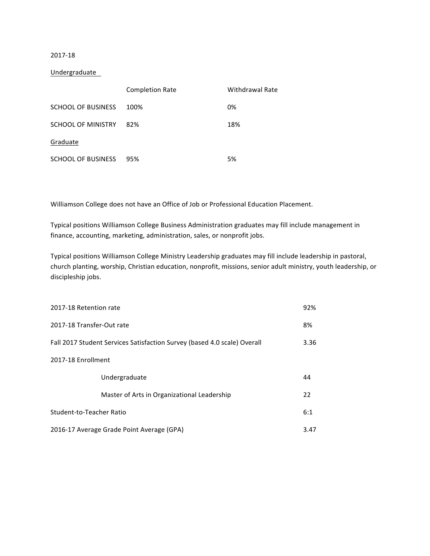# 2017-18

## Undergraduate

|                           | <b>Completion Rate</b> | Withdrawal Rate |
|---------------------------|------------------------|-----------------|
| <b>SCHOOL OF BUSINESS</b> | 100%                   | 0%              |
| <b>SCHOOL OF MINISTRY</b> | 82%                    | 18%             |
| Graduate                  |                        |                 |
| <b>SCHOOL OF BUSINESS</b> | 95%                    | 5%              |

Williamson College does not have an Office of Job or Professional Education Placement.

Typical positions Williamson College Business Administration graduates may fill include management in finance, accounting, marketing, administration, sales, or nonprofit jobs.

Typical positions Williamson College Ministry Leadership graduates may fill include leadership in pastoral, church planting, worship, Christian education, nonprofit, missions, senior adult ministry, youth leadership, or discipleship jobs.

| 2017-18 Retention rate                                                   |                                             | 92%  |
|--------------------------------------------------------------------------|---------------------------------------------|------|
| 2017-18 Transfer-Out rate                                                |                                             | 8%   |
| Fall 2017 Student Services Satisfaction Survey (based 4.0 scale) Overall |                                             | 3.36 |
| 2017-18 Enrollment                                                       |                                             |      |
|                                                                          | Undergraduate                               | 44   |
|                                                                          | Master of Arts in Organizational Leadership | 22   |
| Student-to-Teacher Ratio                                                 |                                             | 6:1  |
| 2016-17 Average Grade Point Average (GPA)                                |                                             | 3.47 |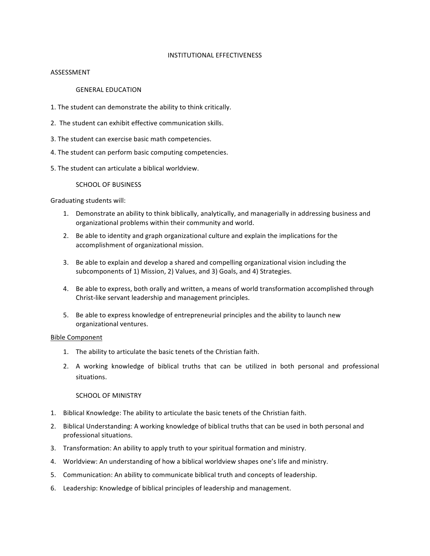#### INSTITUTIONAL EFFECTIVENESS

#### ASSESSMENT

### **GENERAL EDUCATION**

- 1. The student can demonstrate the ability to think critically.
- 2. The student can exhibit effective communication skills.
- 3. The student can exercise basic math competencies.
- 4. The student can perform basic computing competencies.
- 5. The student can articulate a biblical worldview.

#### SCHOOL OF BUSINESS

Graduating students will:

- 1. Demonstrate an ability to think biblically, analytically, and managerially in addressing business and organizational problems within their community and world.
- 2. Be able to identity and graph organizational culture and explain the implications for the accomplishment of organizational mission.
- 3. Be able to explain and develop a shared and compelling organizational vision including the subcomponents of 1) Mission, 2) Values, and 3) Goals, and 4) Strategies.
- 4. Be able to express, both orally and written, a means of world transformation accomplished through Christ-like servant leadership and management principles.
- 5. Be able to express knowledge of entrepreneurial principles and the ability to launch new organizational ventures.

#### Bible Component

- 1. The ability to articulate the basic tenets of the Christian faith.
- 2. A working knowledge of biblical truths that can be utilized in both personal and professional situations.

## SCHOOL OF MINISTRY

- 1. Biblical Knowledge: The ability to articulate the basic tenets of the Christian faith.
- 2. Biblical Understanding: A working knowledge of biblical truths that can be used in both personal and professional situations.
- 3. Transformation: An ability to apply truth to your spiritual formation and ministry.
- 4. Worldview: An understanding of how a biblical worldview shapes one's life and ministry.
- 5. Communication: An ability to communicate biblical truth and concepts of leadership.
- 6. Leadership: Knowledge of biblical principles of leadership and management.